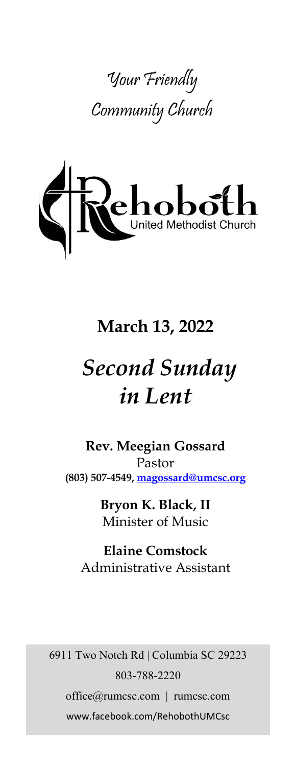



# **March 13, 2022**

# *Second Sunday in Lent*

**Rev. Meegian Gossard** Pastor **(803) 507-4549, magossard@umcsc.org**

> **Bryon K. Black, II** Minister of Music

**Elaine Comstock** Administrative Assistant

6911 Two Notch Rd | Columbia SC 29223 803-788-2220 office@rumcsc.com | rumcsc.com www.facebook.com/RehobothUMCsc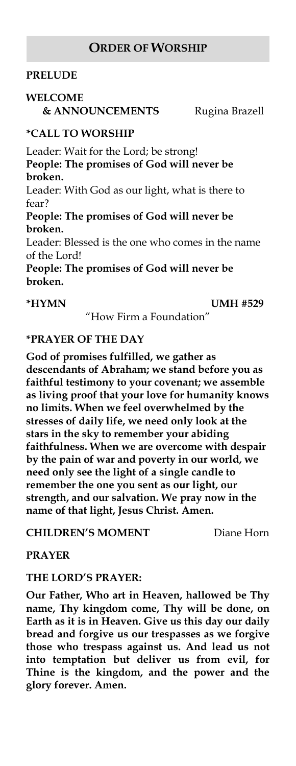#### **ORDER OF WORSHIP**

#### **PRELUDE**

#### **WELCOME**

 **& ANNOUNCEMENTS** Rugina Brazell

#### **\*CALL TO WORSHIP**

Leader: Wait for the Lord; be strong! **People: The promises of God will never be broken.**

Leader: With God as our light, what is there to fear?

**People: The promises of God will never be broken.**

Leader: Blessed is the one who comes in the name of the Lord!

**People: The promises of God will never be broken.**

**\*HYMN UMH #529**

"How Firm a Foundation"

#### **\*PRAYER OF THE DAY**

**God of promises fulfilled, we gather as descendants of Abraham; we stand before you as faithful testimony to your covenant; we assemble as living proof that your love for humanity knows no limits. When we feel overwhelmed by the stresses of daily life, we need only look at the stars in the sky to remember your abiding faithfulness. When we are overcome with despair by the pain of war and poverty in our world, we need only see the light of a single candle to remember the one you sent as our light, our strength, and our salvation. We pray now in the name of that light, Jesus Christ. Amen.**

#### **CHILDREN'S MOMENT** Diane Horn

**PRAYER**

#### **THE LORD'S PRAYER:**

**Our Father, Who art in Heaven, hallowed be Thy name, Thy kingdom come, Thy will be done, on Earth as it is in Heaven. Give us this day our daily bread and forgive us our trespasses as we forgive those who trespass against us. And lead us not into temptation but deliver us from evil, for Thine is the kingdom, and the power and the glory forever. Amen.**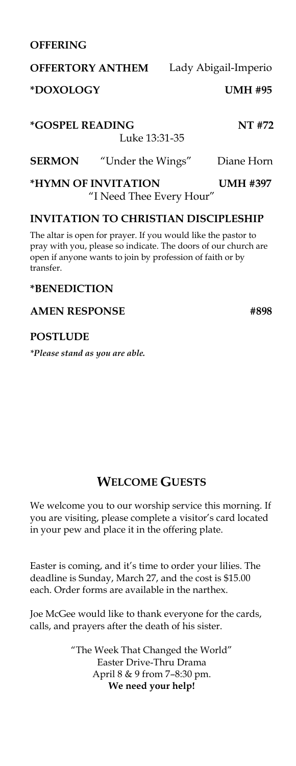#### **OFFERING**

# **OFFERTORY ANTHEM** Lady Abigail-Imperio **\*DOXOLOGY UMH #95**

**\*GOSPEL READING NT #72** Luke 13:31-35 **SERMON** "Under the Wings"Diane Horn

**\*HYMN OF INVITATION UMH #397**  "I Need Thee Every Hour"

#### **INVITATION TO CHRISTIAN DISCIPLESHIP**

The altar is open for prayer. If you would like the pastor to pray with you, please so indicate. The doors of our church are open if anyone wants to join by profession of faith or by transfer.

#### **\*BENEDICTION**

#### **AMEN RESPONSE #898**

#### **POSTLUDE**

*\*Please stand as you are able.*

### **WELCOME GUESTS**

We welcome you to our worship service this morning. If you are visiting, please complete a visitor's card located in your pew and place it in the offering plate.

Easter is coming, and it's time to order your lilies. The deadline is Sunday, March 27, and the cost is \$15.00 each. Order forms are available in the narthex.

Joe McGee would like to thank everyone for the cards, calls, and prayers after the death of his sister.

> "The Week That Changed the World" Easter Drive-Thru Drama April 8 & 9 from 7–8:30 pm. **We need your help!**